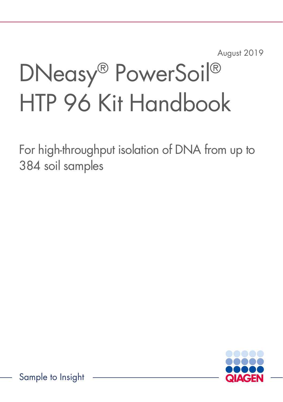August 2019

# DNeasy® PowerSoil® HTP 96 Kit Handbook

For high-throughput isolation of DNA from up to 384 soil samples

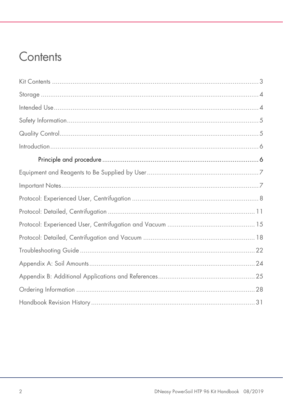### Contents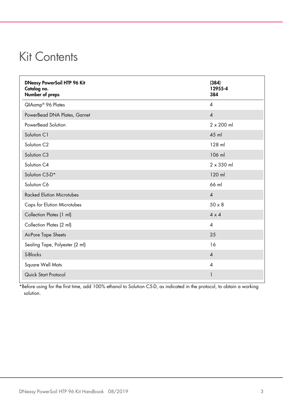### <span id="page-2-0"></span>Kit Contents

| <b>DNeasy PowerSoil HTP 96 Kit</b><br>Catalog no.<br>Number of preps | (384)<br>12955-4<br>384  |
|----------------------------------------------------------------------|--------------------------|
| QIAamp® 96 Plates                                                    | 4                        |
| PowerBead DNA Plates, Garnet                                         | $\overline{4}$           |
| PowerBead Solution                                                   | $2 \times 200$ ml        |
| Solution C1                                                          | 45 ml                    |
| Solution C <sub>2</sub>                                              | 128 ml                   |
| Solution C3                                                          | 106 ml                   |
| Solution C4                                                          | $2 \times 330$ ml        |
| Solution C5-D*                                                       | 120 ml                   |
| Solution C6                                                          | 66 ml                    |
| <b>Racked Elution Microtubes</b>                                     | $\boldsymbol{\Lambda}$   |
| <b>Caps for Elution Microtubes</b>                                   | $50 \times 8$            |
| Collection Plates (1 ml)                                             | $4 \times 4$             |
| Collection Plates (2 ml)                                             | $\overline{\mathcal{A}}$ |
| AirPore Tape Sheets                                                  | 25                       |
| Sealing Tape, Polyester (2 ml)                                       | 16                       |
| S-Blocks                                                             | $\overline{4}$           |
| Square Well Mats                                                     | $\overline{\mathcal{A}}$ |
| Quick Start Protocol                                                 | $\mathbf{1}$             |

\*Before using for the first time, add 100% ethanol to Solution C5-D, as indicated in the protocol, to obtain a working solution.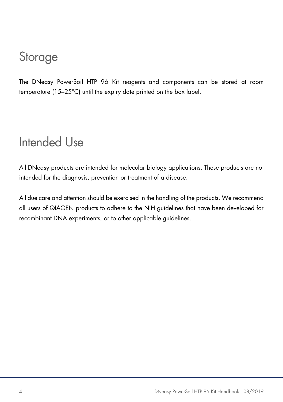### <span id="page-3-0"></span>**Storage**

<span id="page-3-1"></span>The DNeasy PowerSoil HTP 96 Kit reagents and components can be stored at room temperature (15–25°C) until the expiry date printed on the box label.

### Intended Use

All DNeasy products are intended for molecular biology applications. These products are not intended for the diagnosis, prevention or treatment of a disease.

All due care and attention should be exercised in the handling of the products. We recommend all users of QIAGEN products to adhere to the NIH guidelines that have been developed for recombinant DNA experiments, or to other applicable guidelines.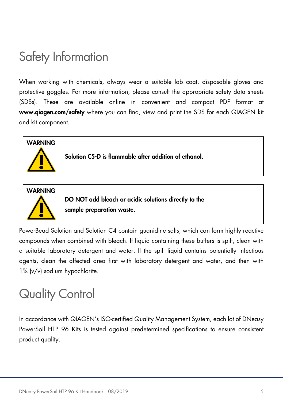### <span id="page-4-0"></span>Safety Information

When working with chemicals, always wear a suitable lab coat, disposable gloves and protective goggles. For more information, please consult the appropriate safety data sheets (SDSs). These are available online in convenient and compact PDF format at www.qiagen.com/safety where you can find, view and print the SDS for each QIAGEN kit and kit component.





DO NOT add bleach or acidic solutions directly to the sample preparation waste.

PowerBead Solution and Solution C4 contain guanidine salts, which can form highly reactive compounds when combined with bleach. If liquid containing these buffers is spilt, clean with a suitable laboratory detergent and water. If the spilt liquid contains potentially infectious agents, clean the affected area first with laboratory detergent and water, and then with 1% (v/v) sodium hypochlorite.

## <span id="page-4-1"></span>Quality Control

In accordance with QIAGEN's ISO-certified Quality Management System, each lot of DNeasy PowerSoil HTP 96 Kits is tested against predetermined specifications to ensure consistent product quality.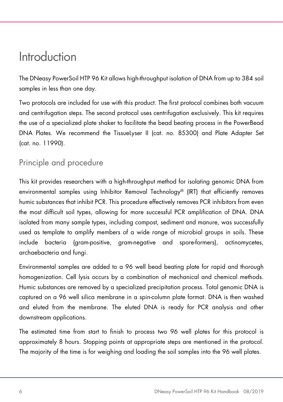### <span id="page-5-0"></span>Introduction

The DNeasy PowerSoil HTP 96 Kit allows high-throughput isolation of DNA from up to 384 soil samples in less than one day.

Two protocols are included for use with this product. The first protocol combines both vacuum and centrifugation steps. The second protocol uses centrifugation exclusively. This kit requires the use of a specialized plate shaker to facilitate the bead beating process in the PowerBead DNA Plates. We recommend the TissueLyser II (cat. no. 85300) and Plate Adapter Set (cat. no. 11990).

### <span id="page-5-1"></span>Principle and procedure

This kit provides researchers with a high-throughput method for isolating genomic DNA from environmental samples using Inhibitor Removal Technology® (IRT) that efficiently removes humic substances that inhibit PCR. This procedure effectively removes PCR inhibitors from even the most difficult soil types, allowing for more successful PCR amplification of DNA. DNA isolated from many sample types, including compost, sediment and manure, was successfully used as template to amplify members of a wide range of microbial groups in soils. These include bacteria (gram-positive, gram-negative and spore-formers), actinomycetes, archaebacteria and fungi.

Environmental samples are added to a 96 well bead beating plate for rapid and thorough homogenization. Cell lysis occurs by a combination of mechanical and chemical methods. Humic substances are removed by a specialized precipitation process. Total genomic DNA is captured on a 96 well silica membrane in a spin-column plate format. DNA is then washed and eluted from the membrane. The eluted DNA is ready for PCR analysis and other downstream applications.

The estimated time from start to finish to process two 96 well plates for this protocol is approximately 8 hours. Stopping points at appropriate steps are mentioned in the protocol. The majority of the time is for weighing and loading the soil samples into the 96 well plates.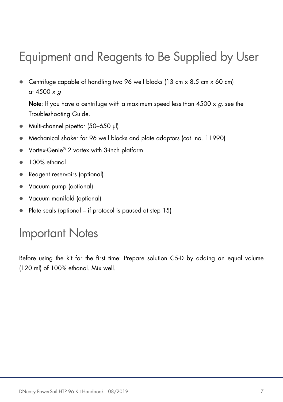### <span id="page-6-0"></span>Equipment and Reagents to Be Supplied by User

 Centrifuge capable of handling two 96 well blocks (13 cm x 8.5 cm x 60 cm) at 4500  $\times$  g

**Note:** If you have a centrifuge with a maximum speed less than  $4500 \times g$ , see the Troubleshooting Guide.

- Multi-channel pipettor (50–650 µl)
- Mechanical shaker for 96 well blocks and plate adaptors (cat. no. 11990)
- Vortex-Genie® 2 vortex with 3-inch platform
- 100% ethanol
- Reagent reservoirs (optional)
- Vacuum pump (optional)
- Vacuum manifold (optional)
- Plate seals (optional if protocol is paused at step 15)

### <span id="page-6-1"></span>Important Notes

Before using the kit for the first time: Prepare solution C5-D by adding an equal volume (120 ml) of 100% ethanol. Mix well.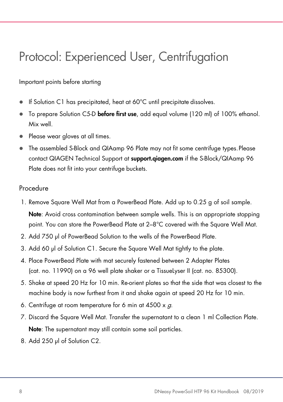### <span id="page-7-0"></span>Protocol: Experienced User, Centrifugation

Important points before starting

- If Solution C1 has precipitated, heat at 60°C until precipitate dissolves.
- $\bullet$  To prepare Solution C5-D before first use, add equal volume (120 ml) of 100% ethanol. Mix well.
- Please wear gloves at all times.
- The assembled S-Block and QIAamp 96 Plate may not fit some centrifuge types.Please contact QIAGEN Technical Support at **support.giagen.com** if the S-Block/QIAamp 96 Plate does not fit into your centrifuge buckets.

#### **Procedure**

- 1. Remove Square Well Mat from a PowerBead Plate. Add up to 0.25 g of soil sample. Note: Avoid cross contamination between sample wells. This is an appropriate stopping point. You can store the PowerBead Plate at 2–8°C covered with the Square Well Mat.
- 2. Add 750 μl of PowerBead Solution to the wells of the PowerBead Plate.
- 3. Add 60 μl of Solution C1. Secure the Square Well Mat tightly to the plate.
- 4. Place PowerBead Plate with mat securely fastened between 2 Adapter Plates (cat. no. 11990) on a 96 well plate shaker or a TissueLyser II (cat. no. 85300).
- 5. Shake at speed 20 Hz for 10 min. Re-orient plates so that the side that was closest to the machine body is now furthest from it and shake again at speed 20 Hz for 10 min.
- 6. Centrifuge at room temperature for 6 min at  $4500 \times g$ .
- 7. Discard the Square Well Mat. Transfer the supernatant to a clean 1 ml Collection Plate. Note: The supernatant may still contain some soil particles.
- 8. Add 250 μl of Solution C2.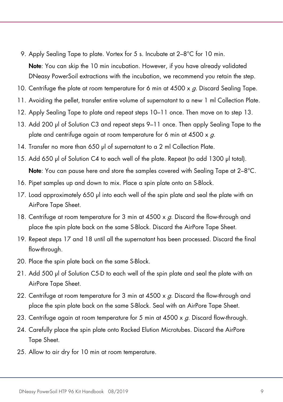- 9. Apply Sealing Tape to plate. Vortex for 5 s. Incubate at 2-8°C for 10 min. Note: You can skip the 10 min incubation. However, if you have already validated DNeasy PowerSoil extractions with the incubation, we recommend you retain the step.
- 10. Centrifuge the plate at room temperature for 6 min at  $4500 \times g$ . Discard Sealing Tape.
- 11. Avoiding the pellet, transfer entire volume of supernatant to a new 1 ml Collection Plate.
- 12. Apply Sealing Tape to plate and repeat steps 10–11 once. Then move on to step 13.
- 13. Add 200 μl of Solution C3 and repeat steps 9–11 once. Then apply Sealing Tape to the plate and centrifuge again at room temperature for 6 min at  $4500 \times g$ .
- 14. Transfer no more than 650 μl of supernatant to a 2 ml Collection Plate.
- 15. Add 650 μl of Solution C4 to each well of the plate. Repeat (to add 1300 µl total). Note: You can pause here and store the samples covered with Sealing Tape at 2-8°C.
- 16. Pipet samples up and down to mix. Place a spin plate onto an S-Block.
- 17. Load approximately 650 μl into each well of the spin plate and seal the plate with an AirPore Tape Sheet.
- 18. Centrifuge at room temperature for 3 min at  $4500 \times g$ . Discard the flow-through and place the spin plate back on the same S-Block. Discard the AirPore Tape Sheet.
- 19. Repeat steps 17 and 18 until all the supernatant has been processed. Discard the final flow-through.
- 20. Place the spin plate back on the same S-Block.
- 21. Add 500 μl of Solution C5-D to each well of the spin plate and seal the plate with an AirPore Tape Sheet.
- 22. Centrifuge at room temperature for 3 min at  $4500 \times g$ . Discard the flow-through and place the spin plate back on the same S-Block. Seal with an AirPore Tape Sheet.
- 23. Centrifuge again at room temperature for 5 min at  $4500 \times g$ . Discard flow-through.
- 24. Carefully place the spin plate onto Racked Elution Microtubes. Discard the AirPore Tape Sheet.
- 25. Allow to air dry for 10 min at room temperature.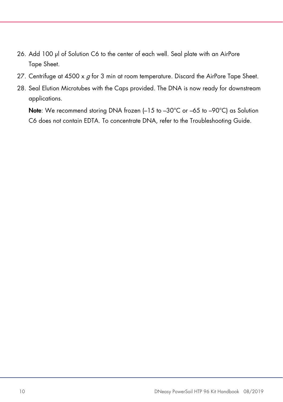- 26. Add 100 μl of Solution C6 to the center of each well. Seal plate with an AirPore Tape Sheet.
- 27. Centrifuge at  $4500 \times g$  for 3 min at room temperature. Discard the AirPore Tape Sheet.
- 28. Seal Elution Microtubes with the Caps provided. The DNA is now ready for downstream applications.

Note: We recommend storing DNA frozen (-15 to -30°C or -65 to -90°C) as Solution C6 does not contain EDTA. To concentrate DNA, refer to the [Troubleshooting Guide.](#page-21-0)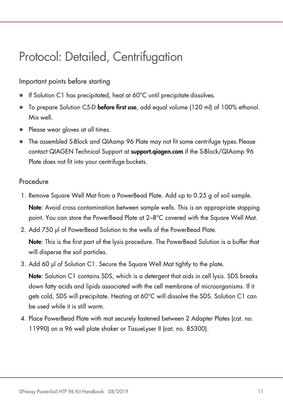### <span id="page-10-0"></span>Protocol: Detailed, Centrifugation

#### Important points before starting

- If Solution C1 has precipitated, heat at 60°C until precipitate dissolves.
- To prepare Solution C5-D before first use, add equal volume (120 ml) of 100% ethanol. Mix well.
- Please wear gloves at all times.
- The assembled S-Block and QIAamp 96 Plate may not fit some centrifuge types.Please contact QIAGEN Technical Support at <support.qiagen.com>if the S-Block/QIAamp 96 Plate does not fit into your centrifuge buckets.

#### Procedure

- 1. Remove Square Well Mat from a PowerBead Plate. Add up to 0.25 g of soil sample. Note: Avoid cross contamination between sample wells. This is an appropriate stopping point. You can store the PowerBead Plate at 2–8°C covered with the Sauare Well Mat.
- 2. Add 750 μl of PowerBead Solution to the wells of the PowerBead Plate.

Note: This is the first part of the lysis procedure. The PowerBead Solution is a buffer that will disperse the soil particles.

3. Add 60 μl of Solution C1. Secure the Square Well Mat tightly to the plate.

Note: Solution C1 contains SDS, which is a detergent that aids in cell lysis. SDS breaks down fatty acids and lipids associated with the cell membrane of microorganisms. If it gets cold, SDS will precipitate. Heating at 60°C will dissolve the SDS. Solution C1 can be used while it is still warm.

4. Place PowerBead Plate with mat securely fastened between 2 Adapter Plates (cat. no. 11990) on a 96 well plate shaker or TissueLyser II (cat. no. 85300).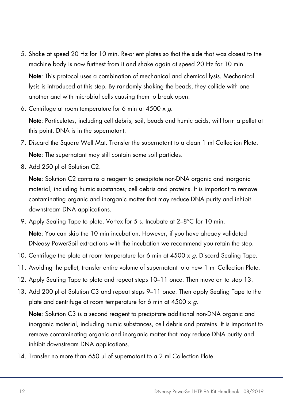5. Shake at speed 20 Hz for 10 min. Re-orient plates so that the side that was closest to the machine body is now furthest from it and shake again at speed 20 Hz for 10 min.

Note: This protocol uses a combination of mechanical and chemical lysis. Mechanical lysis is introduced at this step. By randomly shaking the beads, they collide with one another and with microbial cells causing them to break open.

6. Centrifuge at room temperature for 6 min at  $4500 \times g$ .

Note: Particulates, including cell debris, soil, beads and humic acids, will form a pellet at this point. DNA is in the supernatant.

- 7. Discard the Square Well Mat. Transfer the supernatant to a clean 1 ml Collection Plate. Note: The supernatant may still contain some soil particles.
- 8. Add 250 μl of Solution C2.

Note: Solution C2 contains a reagent to precipitate non-DNA organic and inorganic material, including humic substances, cell debris and proteins. It is important to remove contaminating organic and inorganic matter that may reduce DNA purity and inhibit downstream DNA applications.

- 9. Apply Sealing Tape to plate. Vortex for 5 s. Incubate at 2–8°C for 10 min. Note: You can skip the 10 min incubation. However, if you have already validated DNeasy PowerSoil extractions with the incubation we recommend you retain the step.
- 10. Centrifuge the plate at room temperature for 6 min at 4500 x q. Discard Sealing Tape.
- 11. Avoiding the pellet, transfer entire volume of supernatant to a new 1 ml Collection Plate.
- 12. Apply Sealing Tape to plate and repeat steps 10–11 once. Then move on to step 13.
- 13. Add 200 μl of Solution C3 and repeat steps 9–11 once. Then apply Sealing Tape to the plate and centrifuge at room temperature for 6 min at  $4500 \times g$ .

Note: Solution C3 is a second reagent to precipitate additional non-DNA organic and inorganic material, including humic substances, cell debris and proteins. It is important to remove contaminating organic and inorganic matter that may reduce DNA purity and inhibit downstream DNA applications.

14. Transfer no more than 650 μl of supernatant to a 2 ml Collection Plate.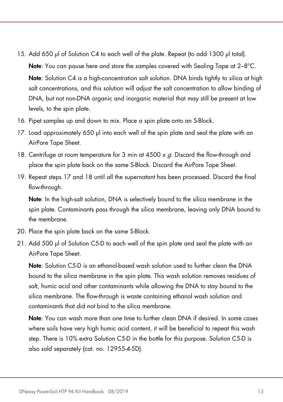15. Add 650 μl of Solution C4 to each well of the plate. Repeat (to add 1300 µl total).

Note: You can pause here and store the samples covered with Sealing Tape at 2–8°C. Note: Solution C4 is a high-concentration salt solution. DNA binds tightly to silica at high salt concentrations, and this solution will adjust the salt concentration to allow binding of DNA, but not non-DNA organic and inorganic material that may still be present at low levels, to the spin plate.

- 16. Pipet samples up and down to mix. Place a spin plate onto an S-Block.
- 17. Load approximately 650 μl into each well of the spin plate and seal the plate with an AirPore Tape Sheet.
- 18. Centrifuge at room temperature for 3 min at  $4500 \times q$ . Discard the flow-through and place the spin plate back on the same S-Block. Discard the AirPore Tape Sheet.
- 19. Repeat steps 17 and 18 until all the supernatant has been processed. Discard the final flow-through.

Note: In the high-salt solution, DNA is selectively bound to the silica membrane in the spin plate. Contaminants pass through the silica membrane, leaving only DNA bound to the membrane.

- 20. Place the spin plate back on the same S-Block.
- 21. Add 500 μl of Solution C5-D to each well of the spin plate and seal the plate with an AirPore Tape Sheet.

Note: Solution C5-D is an ethanol-based wash solution used to further clean the DNA bound to the silica membrane in the spin plate. This wash solution removes residues of salt, humic acid and other contaminants while allowing the DNA to stay bound to the silica membrane. The flow-through is waste containing ethanol wash solution and contaminants that did not bind to the silica membrane.

Note: You can wash more than one time to further clean DNA if desired. In some cases where soils have very high humic acid content, it will be beneficial to repeat this wash step. There is 10% extra Solution C5-D in the bottle for this purpose. Solution C5-D is also sold separately (cat. no. 12955-4-5D).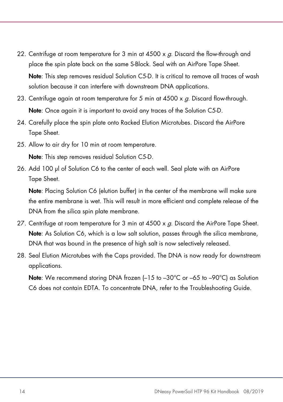- 22. Centrifuge at room temperature for 3 min at  $4500 \times a$ . Discard the flow-through and place the spin plate back on the same S-Block. Seal with an AirPore Tape Sheet. Note: This step removes residual Solution C5-D. It is critical to remove all traces of wash solution because it can interfere with downstream DNA applications.
- 23. Centrifuge again at room temperature for 5 min at  $4500 \times g$ . Discard flow-through. Note: Once again it is important to avoid any traces of the Solution C5-D.
- 24. Carefully place the spin plate onto Racked Elution Microtubes. Discard the AirPore Tape Sheet.
- 25. Allow to air dry for 10 min at room temperature.

Note: This step removes residual Solution C5-D.

26. Add 100 μl of Solution C6 to the center of each well. Seal plate with an AirPore Tape Sheet.

Note: Placing Solution C6 (elution buffer) in the center of the membrane will make sure the entire membrane is wet. This will result in more efficient and complete release of the DNA from the silica spin plate membrane.

- 27. Centrifuge at room temperature for 3 min at  $4500 \times a$ . Discard the AirPore Tape Sheet. Note: As Solution C6, which is a low salt solution, passes through the silica membrane, DNA that was bound in the presence of high salt is now selectively released.
- 28. Seal Elution Microtubes with the Caps provided. The DNA is now ready for downstream applications.

Note: We recommend storing DNA frozen (-15 to -30°C or -65 to -90°C) as Solution C6 does not contain EDTA. To concentrate DNA, refer to the [Troubleshooting Guide.](#page-21-0)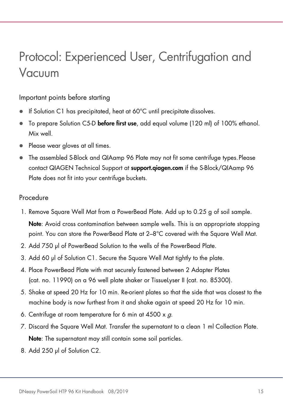### <span id="page-14-0"></span>Protocol: Experienced User, Centrifugation and Vacuum

#### Important points before starting

- If Solution C1 has precipitated, heat at 60°C until precipitate dissolves.
- To prepare Solution C5-D before first use, add equal volume (120 ml) of 100% ethanol. Mix well.
- Please wear gloves at all times.
- The assembled S-Block and QIAamp 96 Plate may not fit some centrifuge types.Please contact QIAGEN Technical Support at **support.qiagen.com** if the S-Block/QIAamp 96 Plate does not fit into your centrifuge buckets.

#### Procedure

- 1. Remove Square Well Mat from a PowerBead Plate. Add up to 0.25 g of soil sample. Note: Avoid cross contamination between sample wells. This is an appropriate stopping point. You can store the PowerBead Plate at 2–8°C covered with the Sauare Well Mat.
- 2. Add 750 μl of PowerBead Solution to the wells of the PowerBead Plate.
- 3. Add 60 μl of Solution C1. Secure the Square Well Mat tightly to the plate.
- 4. Place PowerBead Plate with mat securely fastened between 2 Adapter Plates (cat. no. 11990) on a 96 well plate shaker or TissueLyser II (cat. no. 85300).
- 5. Shake at speed 20 Hz for 10 min. Re-orient plates so that the side that was closest to the machine body is now furthest from it and shake again at speed 20 Hz for 10 min.
- 6. Centrifuge at room temperature for 6 min at  $4500 \times g$ .
- 7. Discard the Square Well Mat. Transfer the supernatant to a clean 1 ml Collection Plate. Note: The supernatant may still contain some soil particles.
- 8. Add 250 μl of Solution C2.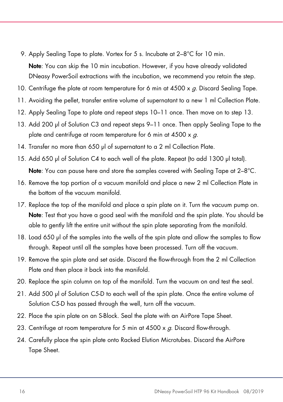- 9. Apply Sealing Tape to plate. Vortex for 5 s. Incubate at 2-8°C for 10 min. Note: You can skip the 10 min incubation. However, if you have already validated DNeasy PowerSoil extractions with the incubation, we recommend you retain the step.
- 10. Centrifuge the plate at room temperature for 6 min at  $4500 \times g$ . Discard Sealing Tape.
- 11. Avoiding the pellet, transfer entire volume of supernatant to a new 1 ml Collection Plate.
- 12. Apply Sealing Tape to plate and repeat steps 10–11 once. Then move on to step 13.
- 13. Add 200 μl of Solution C3 and repeat steps 9–11 once. Then apply Sealing Tape to the plate and centrifuge at room temperature for 6 min at  $4500 \times g$ .
- 14. Transfer no more than 650 μl of supernatant to a 2 ml Collection Plate.
- 15. Add 650 μl of Solution C4 to each well of the plate. Repeat (to add 1300 µl total). Note: You can pause here and store the samples covered with Sealing Tape at 2-8°C.
- 16. Remove the top portion of a vacuum manifold and place a new 2 ml Collection Plate in the bottom of the vacuum manifold.
- 17. Replace the top of the manifold and place a spin plate on it. Turn the vacuum pump on. Note: Test that you have a good seal with the manifold and the spin plate. You should be able to gently lift the entire unit without the spin plate separating from the manifold.
- 18. Load 650 μl of the samples into the wells of the spin plate and allow the samples to flow through. Repeat until all the samples have been processed. Turn off the vacuum.
- 19. Remove the spin plate and set aside. Discard the flow-through from the 2 ml Collection Plate and then place it back into the manifold.
- 20. Replace the spin column on top of the manifold. Turn the vacuum on and test the seal.
- 21. Add 500 μl of Solution C5-D to each well of the spin plate. Once the entire volume of Solution C5-D has passed through the well, turn off the vacuum.
- 22. Place the spin plate on an S-Block. Seal the plate with an AirPore Tape Sheet.
- 23. Centrifuge at room temperature for 5 min at  $4500 \times g$ . Discard flow-through.
- 24. Carefully place the spin plate onto Racked Elution Microtubes. Discard the AirPore Tape Sheet.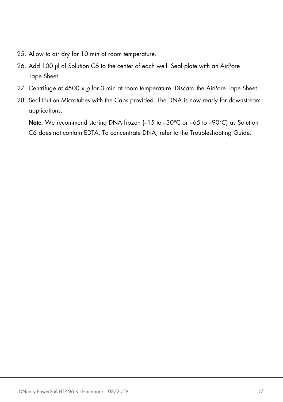- 25. Allow to air dry for 10 min at room temperature.
- 26. Add 100 μl of Solution C6 to the center of each well. Seal plate with an AirPore Tape Sheet.
- 27. Centrifuge at 4500 x  $g$  for 3 min at room temperature. Discard the AirPore Tape Sheet.
- 28. Seal Elution Microtubes with the Caps provided. The DNA is now ready for downstream applications.

Note: We recommend storing DNA frozen (-15 to -30°C or -65 to -90°C) as Solution C6 does not contain EDTA. To concentrate DNA, refer to the [Troubleshooting Guide.](#page-21-0)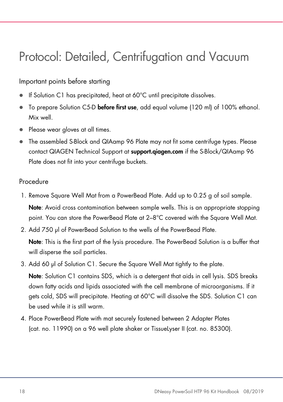### <span id="page-17-0"></span>Protocol: Detailed, Centrifugation and Vacuum

#### Important points before starting

- If Solution C1 has precipitated, heat at 60°C until precipitate dissolves.
- To prepare Solution C5-D before first use, add equal volume (120 ml) of 100% ethanol. Mix well.
- Please wear gloves at all times.
- The assembled S-Block and QIAamp 96 Plate may not fit some centrifuge types. Please contact QIAGEN Technical Support at **<support.qiagen.com>** if the S-Block/QIAamp 96 Plate does not fit into your centrifuge buckets.

#### Procedure

- 1. Remove Square Well Mat from a PowerBead Plate. Add up to 0.25 g of soil sample. Note: Avoid cross contamination between sample wells. This is an appropriate stopping point. You can store the PowerBead Plate at 2–8°C covered with the Sauare Well Mat.
- 2. Add 750 μl of PowerBead Solution to the wells of the PowerBead Plate.

Note: This is the first part of the lysis procedure. The PowerBead Solution is a buffer that will disperse the soil particles.

3. Add 60 μl of Solution C1. Secure the Square Well Mat tightly to the plate.

Note: Solution C1 contains SDS, which is a detergent that aids in cell lysis. SDS breaks down fatty acids and lipids associated with the cell membrane of microorganisms. If it gets cold, SDS will precipitate. Heating at 60°C will dissolve the SDS. Solution C1 can be used while it is still warm.

4. Place PowerBead Plate with mat securely fastened between 2 Adapter Plates (cat. no. 11990) on a 96 well plate shaker or TissueLyser II (cat. no. 85300).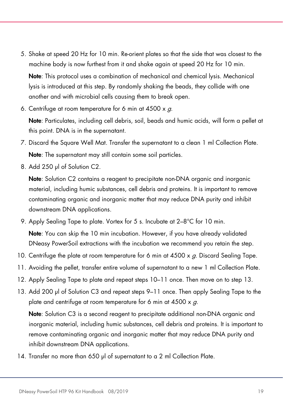5. Shake at speed 20 Hz for 10 min. Re-orient plates so that the side that was closest to the machine body is now furthest from it and shake again at speed 20 Hz for 10 min.

Note: This protocol uses a combination of mechanical and chemical lysis. Mechanical lysis is introduced at this step. By randomly shaking the beads, they collide with one another and with microbial cells causing them to break open.

6. Centrifuge at room temperature for 6 min at  $4500 \times g$ .

Note: Particulates, including cell debris, soil, beads and humic acids, will form a pellet at this point. DNA is in the supernatant.

- 7. Discard the Square Well Mat. Transfer the supernatant to a clean 1 ml Collection Plate. Note: The supernatant may still contain some soil particles.
- 8. Add 250 μl of Solution C2.

Note: Solution C2 contains a reagent to precipitate non-DNA organic and inorganic material, including humic substances, cell debris and proteins. It is important to remove contaminating organic and inorganic matter that may reduce DNA purity and inhibit downstream DNA applications.

- 9. Apply Sealing Tape to plate. Vortex for 5 s. Incubate at 2–8°C for 10 min. Note: You can skip the 10 min incubation. However, if you have already validated DNeasy PowerSoil extractions with the incubation we recommend you retain the step.
- 10. Centrifuge the plate at room temperature for 6 min at 4500 x q. Discard Sealing Tape.
- 11. Avoiding the pellet, transfer entire volume of supernatant to a new 1 ml Collection Plate.
- 12. Apply Sealing Tape to plate and repeat steps 10–11 once. Then move on to step 13.
- 13. Add 200 μl of Solution C3 and repeat steps 9–11 once. Then apply Sealing Tape to the plate and centrifuge at room temperature for 6 min at  $4500 \times g$ .

Note: Solution C3 is a second reagent to precipitate additional non-DNA organic and inorganic material, including humic substances, cell debris and proteins. It is important to remove contaminating organic and inorganic matter that may reduce DNA purity and inhibit downstream DNA applications.

14. Transfer no more than 650 μl of supernatant to a 2 ml Collection Plate.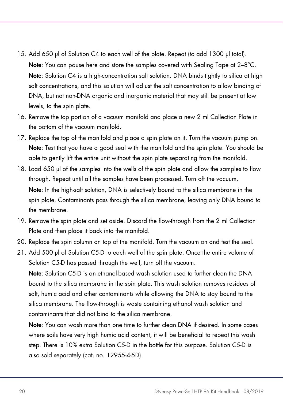- 15. Add 650 μl of Solution C4 to each well of the plate. Repeat (to add 1300 µl total). Note: You can pause here and store the samples covered with Sealing Tape at 2–8°C. Note: Solution C4 is a high-concentration salt solution. DNA binds tightly to silica at high salt concentrations, and this solution will adjust the salt concentration to allow binding of DNA, but not non-DNA organic and inorganic material that may still be present at low levels, to the spin plate.
- 16. Remove the top portion of a vacuum manifold and place a new 2 ml Collection Plate in the bottom of the vacuum manifold.
- 17. Replace the top of the manifold and place a spin plate on it. Turn the vacuum pump on. Note: Test that you have a good seal with the manifold and the spin plate. You should be able to gently lift the entire unit without the spin plate separating from the manifold.
- 18. Load 650 μl of the samples into the wells of the spin plate and allow the samples to flow through. Repeat until all the samples have been processed. Turn off the vacuum. Note: In the high-salt solution, DNA is selectively bound to the silica membrane in the spin plate. Contaminants pass through the silica membrane, leaving only DNA bound to the membrane.
- 19. Remove the spin plate and set aside. Discard the flow-through from the 2 ml Collection Plate and then place it back into the manifold.
- 20. Replace the spin column on top of the manifold. Turn the vacuum on and test the seal.
- 21. Add 500 μl of Solution C5-D to each well of the spin plate. Once the entire volume of Solution C5-D has passed through the well, turn off the vacuum.

Note: Solution C5-D is an ethanol-based wash solution used to further clean the DNA bound to the silica membrane in the spin plate. This wash solution removes residues of salt, humic acid and other contaminants while allowing the DNA to stay bound to the silica membrane. The flow-through is waste containing ethanol wash solution and contaminants that did not bind to the silica membrane.

Note: You can wash more than one time to further clean DNA if desired. In some cases where soils have very high humic acid content, it will be beneficial to repeat this wash step. There is 10% extra Solution C5-D in the bottle for this purpose. Solution C5-D is also sold separately (cat. no. 12955-4-5D).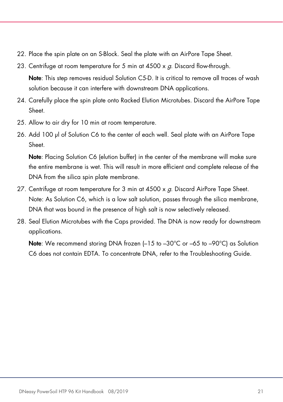- 22. Place the spin plate on an S-Block. Seal the plate with an AirPore Tape Sheet.
- 23. Centrifuge at room temperature for 5 min at  $4500 \times q$ . Discard flow-through. Note: This step removes residual Solution C5-D. It is critical to remove all traces of wash solution because it can interfere with downstream DNA applications.
- 24. Carefully place the spin plate onto Racked Elution Microtubes. Discard the AirPore Tape Sheet.
- 25. Allow to air dry for 10 min at room temperature.
- 26. Add 100 μl of Solution C6 to the center of each well. Seal plate with an AirPore Tape Sheet.

Note: Placing Solution C6 (elution buffer) in the center of the membrane will make sure the entire membrane is wet. This will result in more efficient and complete release of the DNA from the silica spin plate membrane.

- 27. Centrifuge at room temperature for 3 min at  $4500 \times g$ . Discard AirPore Tape Sheet. Note: As Solution C6, which is a low salt solution, passes through the silica membrane, DNA that was bound in the presence of high salt is now selectively released.
- 28. Seal Elution Microtubes with the Caps provided. The DNA is now ready for downstream applications.

Note: We recommend storing DNA frozen (-15 to -30°C or -65 to -90°C) as Solution C6 does not contain EDTA. To concentrate DNA, refer to the [Troubleshooting Guide.](#page-21-0)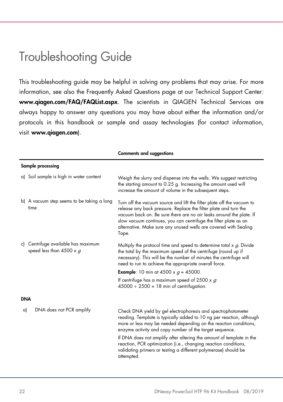### <span id="page-21-0"></span>Troubleshooting Guide

This troubleshooting guide may be helpful in solving any problems that may arise. For more information, see also the Frequently Asked Questions page at our Technical Support Center: www.qiagen.com/FAQ/FAQList.aspx. The scientists in QIAGEN Technical Services are always happy to answer any questions you may have about either the information and/or protocols in this handbook or sample and assay technologies (for contact information, visit [www.qiagen.c](http://www.qiagen.com/)om).

|            | Sample processing                                                 |                                                                                                                                                                                                                                                                                                                                                                                                                                                                                                 |  |
|------------|-------------------------------------------------------------------|-------------------------------------------------------------------------------------------------------------------------------------------------------------------------------------------------------------------------------------------------------------------------------------------------------------------------------------------------------------------------------------------------------------------------------------------------------------------------------------------------|--|
|            | a) Soil sample is high in water content                           | Weigh the slurry and dispense into the wells. We suggest restricting<br>the starting amount to 0.25 g. Increasing the amount used will<br>increase the amount of volume in the subsequent steps.                                                                                                                                                                                                                                                                                                |  |
|            | b) A vacuum step seems to be taking a long<br>time                | Turn off the vacuum source and lift the filter plate off the vacuum to<br>release any back pressure. Replace the filter plate and turn the<br>vacuum back on. Be sure there are no air leaks around the plate. If<br>slow vacuum continues, you can centrifuge the filter plate as an<br>alternative. Make sure any unused wells are covered with Sealing<br>Tape.                                                                                                                              |  |
|            | c) Centrifuge available has maximum<br>speed less than 4500 x $g$ | Multiply the protocol time and speed to determine total $x$ $g$ . Divide<br>the total by the maximum speed of the centrifuge (round up if<br>necessary). This will be the number of minutes the centrifuge will<br>need to run to achieve the appropriate overall force.                                                                                                                                                                                                                        |  |
|            |                                                                   | <b>Example:</b> 10 min at 4500 x $g = 45000$ .                                                                                                                                                                                                                                                                                                                                                                                                                                                  |  |
|            |                                                                   | If centrifuge has a maximum speed of 2500 x $g$ .<br>$45000 \div 2500 = 18$ min of centrifugation.                                                                                                                                                                                                                                                                                                                                                                                              |  |
| <b>DNA</b> |                                                                   |                                                                                                                                                                                                                                                                                                                                                                                                                                                                                                 |  |
| a)         | DNA does not PCR amplify                                          | Check DNA yield by gel electrophoresis and spectrophotometer<br>reading. Template is typically added to 10 ng per reaction, although<br>more or less may be needed depending on the reaction conditions,<br>enzyme activity and copy number of the target sequence.<br>If DNA does not amplify after altering the amount of template in the<br>reaction, PCR optimization (i.e., changing reaction conditions,<br>validating primers or testing a different polymerase) should be<br>attempted. |  |
|            |                                                                   |                                                                                                                                                                                                                                                                                                                                                                                                                                                                                                 |  |

Comments and suggestions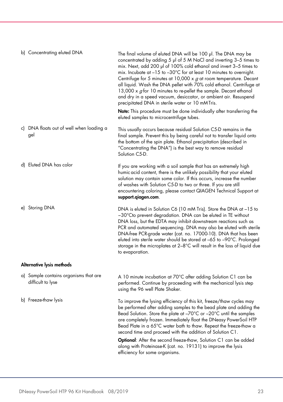| b) Concentrating eluted DNA                     | The final volume of eluted DNA will be 100 µl. The DNA may be<br>concentrated by adding 5 µl of 5 M NaCl and inverting 3-5 times to<br>mix. Next, add 200 µl of 100% cold ethanol and invert 3-5 times to<br>mix. Incubate at $-15$ to $-30^{\circ}$ C for at least 10 minutes to overnight.<br>Centrifuge for 5 minutes at 10,000 $\times$ g at room temperature. Decant<br>all liquid. Wash the DNA pellet with 70% cold ethanol. Centrifuge at<br>13,000 x $g$ for 10 minutes to re-pellet the sample. Decant ethanol<br>and dry in a speed vacuum, desiccator, or ambient air. Resuspend<br>precipitated DNA in sterile water or 10 mMTris.<br><b>Note:</b> This procedure must be done individually after transferring the<br>eluted samples to microcentrifuge tubes. |  |
|-------------------------------------------------|-----------------------------------------------------------------------------------------------------------------------------------------------------------------------------------------------------------------------------------------------------------------------------------------------------------------------------------------------------------------------------------------------------------------------------------------------------------------------------------------------------------------------------------------------------------------------------------------------------------------------------------------------------------------------------------------------------------------------------------------------------------------------------|--|
| c) DNA floats out of well when loading a<br>gel | This usually occurs because residual Solution C5-D remains in the<br>final sample. Prevent this by being careful not to transfer liquid onto<br>the bottom of the spin plate. Ethanol precipitation (described in<br>"Concentrating the DNA") is the best way to remove residual<br>Solution C5-D.                                                                                                                                                                                                                                                                                                                                                                                                                                                                          |  |
| d) Eluted DNA has color                         | If you are working with a soil sample that has an extremely high<br>humic acid content, there is the unlikely possibility that your eluted<br>solution may contain some color. If this occurs, increase the number<br>of washes with Solution C5-D to two or three. If you are still<br>encountering coloring, please contact QIAGEN Technical Support at<br>support.giagen.com.                                                                                                                                                                                                                                                                                                                                                                                            |  |
| e) Storing DNA                                  | DNA is eluted in Solution C6 (10 mM Tris). Store the DNA at -15 to<br>$-30^{\circ}$ Cto prevent degradation. DNA can be eluted in TE without<br>DNA loss, but the EDTA may inhibit downstream reactions such as<br>PCR and automated sequencing. DNA may also be eluted with sterile<br>DNA-free PCR-grade water (cat. no. 17000-10). DNA that has been<br>eluted into sterile water should be stored at -65 to -90°C. Prolonged<br>storage in the microplates at $2-8$ °C will result in the loss of liquid due<br>to evaporation.                                                                                                                                                                                                                                         |  |
| Alternative lysis methods                       |                                                                                                                                                                                                                                                                                                                                                                                                                                                                                                                                                                                                                                                                                                                                                                             |  |
| a) Sample contains organisms that are           | A 10 minute incubation at 70°C after adding Solution C1 can be                                                                                                                                                                                                                                                                                                                                                                                                                                                                                                                                                                                                                                                                                                              |  |
| difficult to lyse                               | performed. Continue by proceeding with the mechanical lysis step<br>using the 96 well Plate Shaker.                                                                                                                                                                                                                                                                                                                                                                                                                                                                                                                                                                                                                                                                         |  |
| b) Freeze-thaw lysis                            | To improve the lysing efficiency of this kit, freeze/thaw cycles may<br>be performed after adding samples to the bead plate and adding the<br>Bead Solution. Store the plate at -70°C or -20°C until the samples<br>are completely frozen. Immediately float the DNeasy PowerSoil HTP<br>Bead Plate in a 65°C water bath to thaw. Repeat the freeze-thaw a<br>second time and proceed with the addition of Solution C1.<br><b>Optional:</b> After the second freeze-thaw, Solution C1 can be added                                                                                                                                                                                                                                                                          |  |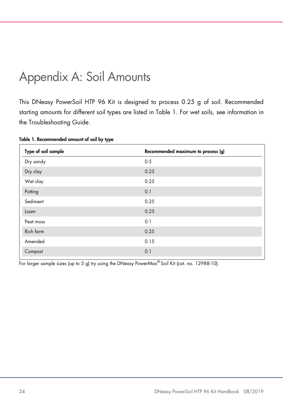### <span id="page-23-0"></span>Appendix A: Soil Amounts

This DNeasy PowerSoil HTP 96 Kit is designed to process 0.25 g of soil. Recommended starting amounts for different soil types are listed in [Table 1.](#page-23-1) For wet soils, see information in the Troubleshooting Guide.

| Type of soil sample | Recommended maximum to process (g) |
|---------------------|------------------------------------|
| Dry sandy           | 0.5                                |
| Dry clay            | 0.25                               |
| Wet clay            | 0.25                               |
| Potting             | 0.1                                |
| Sediment            | 0.25                               |
| Loam                | 0.25                               |
| Peat moss           | 0.1                                |
| Rich farm           | 0.25                               |
| Amended             | 0.15                               |
| Compost             | 0.1                                |

<span id="page-23-1"></span>Table 1. Recommended amount of soil by type

For larger sample sizes (up to 5 g) try using the DNeasy PowerMax® Soil Kit (cat. no. 12988-10).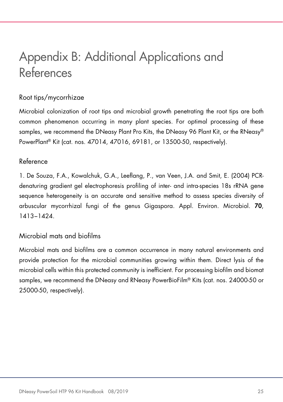### <span id="page-24-0"></span>Appendix B: Additional Applications and References

#### Root tips/mycorrhizae

Microbial colonization of root tips and microbial growth penetrating the root tips are both common phenomenon occurring in many plant species. For optimal processing of these samples, we recommend the DNeasy Plant Pro Kits, the DNeasy 96 Plant Kit, or the RNeasy® PowerPlant® Kit (cat. nos. 47014, 47016, 69181, or 13500-50, respectively).

#### Reference

1. De Souza, F.A., Kowalchuk, G.A., Leeflang, P., van Veen, J.A. and Smit, E. (2004) PCRdenaturing gradient gel electrophoresis profiling of inter- and intra-species 18s rRNA gene sequence heterogeneity is an accurate and sensitive method to assess species diversity of arbuscular mycorrhizal fungi of the genus Gigaspora. Appl. Environ. Microbiol. 70, 1413−1424.

#### Microbial mats and biofilms

Microbial mats and biofilms are a common occurrence in many natural environments and provide protection for the microbial communities growing within them. Direct lysis of the microbial cells within this protected community is inefficient. For processing biofilm and biomat samples, we recommend the DNeasy and RNeasy PowerBioFilm® Kits (cat. nos. 24000-50 or 25000-50, respectively).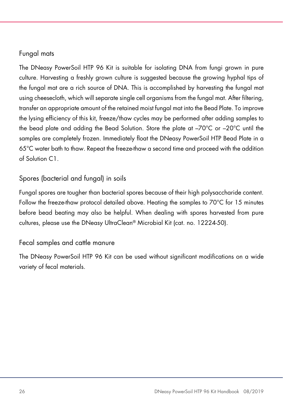#### Fungal mats

The DNeasy PowerSoil HTP 96 Kit is suitable for isolating DNA from fungi grown in pure culture. Harvesting a freshly grown culture is suggested because the growing hyphal tips of the fungal mat are a rich source of DNA. This is accomplished by harvesting the fungal mat using cheesecloth, which will separate single cell organisms from the fungal mat. After filtering, transfer an appropriate amount of the retained moist fungal mat into the Bead Plate. To improve the lysing efficiency of this kit, freeze/thaw cycles may be performed after adding samples to the bead plate and adding the Bead Solution. Store the plate at –70°C or –20°C until the samples are completely frozen. Immediately float the DNeasy PowerSoil HTP Bead Plate in a 65°C water bath to thaw. Repeat the freeze-thaw a second time and proceed with the addition of Solution C1.

#### Spores (bacterial and fungal) in soils

Fungal spores are tougher than bacterial spores because of their high polysaccharide content. Follow the freeze-thaw protocol detailed above. Heating the samples to 70°C for 15 minutes before bead beating may also be helpful. When dealing with spores harvested from pure cultures, please use the DNeasy UltraClean® Microbial Kit (cat. no. 12224-50).

#### Fecal samples and cattle manure

The DNeasy PowerSoil HTP 96 Kit can be used without significant modifications on a wide variety of fecal materials.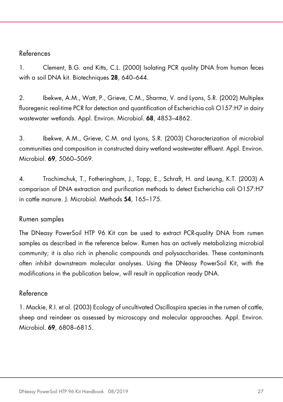#### References

1. Clement, B.G. and Kitts, C.L. (2000) Isolating PCR quality DNA from human feces with a soil DNA kit. Biotechniques 28, 640–644.

2. Ibekwe, A.M., Watt, P., Grieve, C.M., Sharma, V. and Lyons, S.R. (2002) Multiplex fluoregenic real-time PCR for detection and quantification of Escherichia coli O157:H7 in dairy wastewater wetlands. Appl. Environ. Microbiol. 68, 4853–4862.

3. Ibekwe, A.M., Grieve, C.M. and Lyons, S.R. (2003) Characterization of microbial communities and composition in constructed dairy wetland wastewater effluent. Appl. Environ. Microbiol. 69, 5060–5069.

4. Trochimchuk, T., Fotheringham, J., Topp, E., Schraft, H. and Leung, K.T. (2003) A comparison of DNA extraction and purification methods to detect Escherichia coli O157:H7 in cattle manure. J. Microbiol. Methods 54, 165–175.

#### Rumen samples

The DNeasy PowerSoil HTP 96 Kit can be used to extract PCR-quality DNA from rumen samples as described in the reference below. Rumen has an actively metabolizing microbial community; it is also rich in phenolic compounds and polysaccharides. These contaminants often inhibit downstream molecular analyses. Using the DNeasy PowerSoil Kit, with the modifications in the publication below, will result in application ready DNA.

#### Reference

1. Mackie, R.I. et al. (2003) Ecology of uncultivated Oscillospira species in the rumen of cattle, sheep and reindeer as assessed by microscopy and molecular approaches. Appl. Environ. Microbiol. 69, 6808–6815.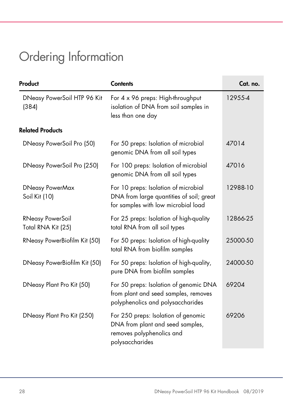## <span id="page-27-0"></span>Ordering Information

| Product                                       | <b>Contents</b>                                                                                                         | Cat. no. |
|-----------------------------------------------|-------------------------------------------------------------------------------------------------------------------------|----------|
| DNeasy PowerSoil HTP 96 Kit<br>(384)          | For 4 x 96 preps: High-throughput<br>isolation of DNA from soil samples in<br>less than one day                         | 12955-4  |
| <b>Related Products</b>                       |                                                                                                                         |          |
| DNeasy PowerSoil Pro (50)                     | For 50 preps: Isolation of microbial<br>genomic DNA from all soil types                                                 | 47014    |
| DNeasy PowerSoil Pro (250)                    | For 100 preps: Isolation of microbial<br>genomic DNA from all soil types                                                | 47016    |
| <b>DNeasy PowerMax</b><br>Soil Kit (10)       | For 10 preps: Isolation of microbial<br>DNA from large quantities of soil; great<br>for samples with low microbial load | 12988-10 |
| <b>RNeasy PowerSoil</b><br>Total RNA Kit (25) | For 25 preps: Isolation of high-quality<br>total RNA from all soil types                                                | 12866-25 |
| RNeasy PowerBiofilm Kit (50)                  | For 50 preps: Isolation of high-quality<br>total RNA from biofilm samples                                               | 25000-50 |
| DNeasy PowerBiofilm Kit (50)                  | For 50 preps: Isolation of high-quality,<br>pure DNA from biofilm samples                                               | 24000-50 |
| DNeasy Plant Pro Kit (50)                     | For 50 preps: Isolation of genomic DNA<br>from plant and seed samples, removes<br>polyphenolics and polysaccharides     | 69204    |
| DNeasy Plant Pro Kit (250)                    | For 250 preps: Isolation of genomic<br>DNA from plant and seed samples,<br>removes polyphenolics and<br>polysaccharides | 69206    |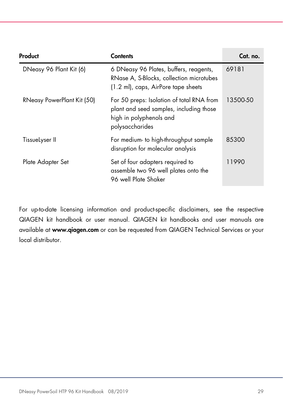| Product<br><b>Contents</b> |                                                                                                                                    | Cat. no. |
|----------------------------|------------------------------------------------------------------------------------------------------------------------------------|----------|
| DNeasy 96 Plant Kit (6)    | 6 DNeasy 96 Plates, buffers, reagents,<br>RNase A, S-Blocks, collection microtubes<br>(1.2 ml), caps, AirPore tape sheets          | 69181    |
| RNeasy PowerPlant Kit (50) | For 50 preps: Isolation of total RNA from<br>plant and seed samples, including those<br>high in polyphenols and<br>polysaccharides | 13500-50 |
| TissueLyser II             | For medium- to high-throughput sample<br>disruption for molecular analysis                                                         | 85300    |
| Plate Adapter Set          | Set of four adapters required to<br>assemble two 96 well plates onto the<br>96 well Plate Shaker                                   | 11990    |

For up-to-date licensing information and product-specific disclaimers, see the respective QIAGEN kit handbook or user manual. QIAGEN kit handbooks and user manuals are available at [www.qiagen.com](http://www.qiagen.com/) or can be requested from QIAGEN Technical Services or your local distributor.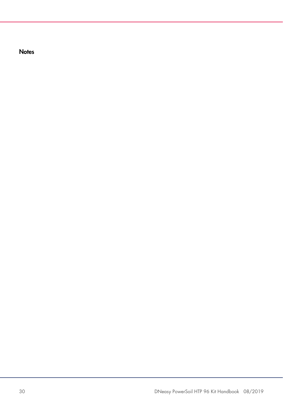**Notes**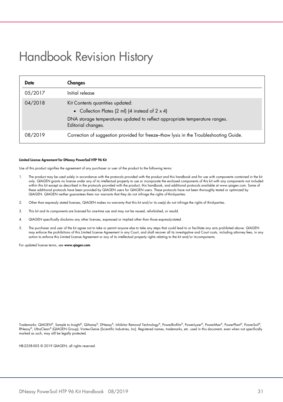### <span id="page-30-0"></span>Handbook Revision History

| <b>Date</b> | Changes                                                                                                                                                                                          |
|-------------|--------------------------------------------------------------------------------------------------------------------------------------------------------------------------------------------------|
| 05/2017     | Initial release                                                                                                                                                                                  |
| 04/2018     | Kit Contents quantities updated:<br>• Collection Plates (2 ml) (4 instead of $2 \times 4$ )<br>DNA storage temperatures updated to reflect appropriate temperature ranges.<br>Editorial changes. |
| 08/2019     | Correction of suggestion provided for freeze-thaw lysis in the Troubleshooting Guide.                                                                                                            |

#### Limited License Agreement for DNeasy PowerSoil HTP 96 Kit

Use of this product signifies the agreement of any purchaser or user of the product to the following terms:

- 1. The product may be used solely in accordance with the protocols provided with the product and this handbook and for use with components contained in the kit only. QIAGEN grants no license under any of its intellectual property to use or incorporate the enclosed components of this kit with any components not included within this kit except as described in the protocols provided with the product, this handbook, and additional protocols available a[t www.qiagen.com. S](http://www.qiagen.com/)ome of these additional protocols have been provided by QIAGEN users for QIAGEN users. These protocols have not been thoroughly tested or optimized by QIAGEN. QIAGEN neither guarantees them nor warrants that they do not infringe the rights of third-parties.
- 2. Other than expressly stated licenses, QIAGEN makes no warranty that this kit and/or its use(s) do not infringe the rights of third-parties.
- 3. This kit and its components are licensed for one-time use and may not be reused, refurbished, or resold.
- 4. QIAGEN specifically disclaims any other licenses, expressed or implied other than those expresslystated.
- The purchaser and user of the kit agree not to take or permit anyone else to take any steps that could lead to or facilitate any acts prohibited above. QIAGEN<br>may enforce the prohibitions of this Limited License Agreement action to enforce this Limited License Agreement or any of its intellectual property rights relating to the kit and/or its components.

For updated license terms, see [www.qiagen.com](http://www.qiagen.com/).

Trademarks: QIAGEN®, Sample to Insight®, QIAamp®, DNeasy®, Inhibitor Removal Technology®, PowerBiofilm®, PowerMax®, PowerPlant®, PowerSoil®,<br>RNeasy®, UltraClean® (QIAGEN Group); Vortex-Genie (Scientific Industries, Inc). R marked as such, may still be legally protected.

HB-2258-003 © 2019 QIAGEN, all rights reserved.